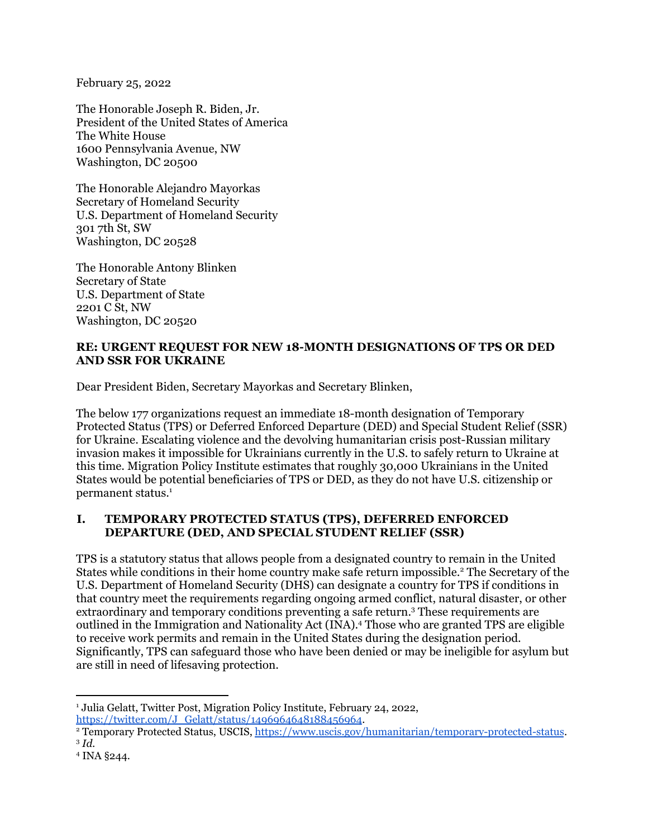February 25, 2022

The Honorable Joseph R. Biden, Jr. President of the United States of America The White House 1600 Pennsylvania Avenue, NW Washington, DC 20500

The Honorable Alejandro Mayorkas Secretary of Homeland Security U.S. Department of Homeland Security 301 7th St, SW Washington, DC 20528

The Honorable Antony Blinken Secretary of State U.S. Department of State 2201 C St, NW Washington, DC 20520

### **RE: URGENT REQUEST FOR NEW 18-MONTH DESIGNATIONS OF TPS OR DED AND SSR FOR UKRAINE**

Dear President Biden, Secretary Mayorkas and Secretary Blinken,

The below 177 organizations request an immediate 18-month designation of Temporary Protected Status (TPS) or Deferred Enforced Departure (DED) and Special Student Relief (SSR) for Ukraine. Escalating violence and the devolving humanitarian crisis post-Russian military invasion makes it impossible for Ukrainians currently in the U.S. to safely return to Ukraine at this time. Migration Policy Institute estimates that roughly 30,000 Ukrainians in the United States would be potential beneficiaries of TPS or DED, as they do not have U.S. citizenship or permanent status. 1

# **I. TEMPORARY PROTECTED STATUS (TPS), DEFERRED ENFORCED DEPARTURE (DED, AND SPECIAL STUDENT RELIEF (SSR)**

TPS is a statutory status that allows people from a designated country to remain in the United States while conditions in their home country make safe return impossible. <sup>2</sup> The Secretary of the U.S. Department of Homeland Security (DHS) can designate a country for TPS if conditions in that country meet the requirements regarding ongoing armed conflict, natural disaster, or other extraordinary and temporary conditions preventing a safe return. <sup>3</sup> These requirements are outlined in the Immigration and Nationality Act (INA). <sup>4</sup> Those who are granted TPS are eligible to receive work permits and remain in the United States during the designation period. Significantly, TPS can safeguard those who have been denied or may be ineligible for asylum but are still in need of lifesaving protection.

<sup>&</sup>lt;sup>1</sup> Julia Gelatt, Twitter Post, Migration Policy Institute, February 24, 2022, [https://twitter.com/J\\_Gelatt/status/1496964648188456964](https://twitter.com/J_Gelatt/status/1496964648188456964).

<sup>3</sup> *Id.* <sup>2</sup> Temporary Protected Status, USCIS, <https://www.uscis.gov/humanitarian/temporary-protected-status>.

<sup>4</sup> INA §244.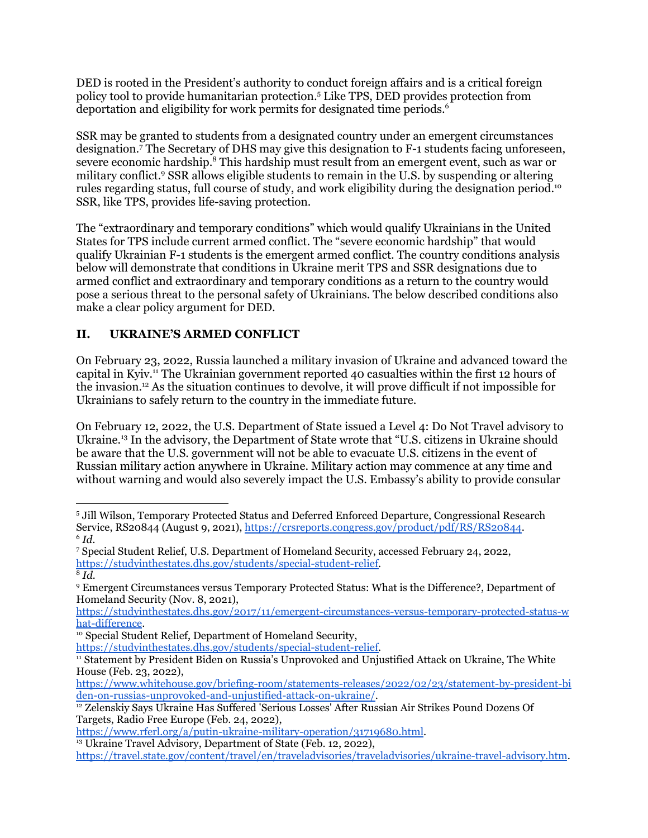DED is rooted in the President's authority to conduct foreign affairs and is a critical foreign policy tool to provide humanitarian protection. <sup>5</sup> Like TPS, DED provides protection from deportation and eligibility for work permits for designated time periods. 6

SSR may be granted to students from a designated country under an emergent circumstances designation. <sup>7</sup> The Secretary of DHS may give this designation to F-1 students facing unforeseen, severe economic hardship.<sup>8</sup> This hardship must result from an emergent event, such as war or military conflict. <sup>9</sup> SSR allows eligible students to remain in the U.S. by suspending or altering rules regarding status, full course of study, and work eligibility during the designation period.<sup>10</sup> SSR, like TPS, provides life-saving protection.

The "extraordinary and temporary conditions" which would qualify Ukrainians in the United States for TPS include current armed conflict. The "severe economic hardship" that would qualify Ukrainian F-1 students is the emergent armed conflict. The country conditions analysis below will demonstrate that conditions in Ukraine merit TPS and SSR designations due to armed conflict and extraordinary and temporary conditions as a return to the country would pose a serious threat to the personal safety of Ukrainians. The below described conditions also make a clear policy argument for DED.

# **II. UKRAINE'S ARMED CONFLICT**

On February 23, 2022, Russia launched a military invasion of Ukraine and advanced toward the capital in Kyiv.<sup>11</sup> The Ukrainian government reported 40 casualties within the first 12 hours of the invasion. <sup>12</sup> As the situation continues to devolve, it will prove difficult if not impossible for Ukrainians to safely return to the country in the immediate future.

On February 12, 2022, the U.S. Department of State issued a Level 4: Do Not Travel advisory to Ukraine. <sup>13</sup> In the advisory, the Department of State wrote that "U.S. citizens in Ukraine should be aware that the U.S. government will not be able to evacuate U.S. citizens in the event of Russian military action anywhere in Ukraine. Military action may commence at any time and without warning and would also severely impact the U.S. Embassy's ability to provide consular

 $6$   $Id.$ <sup>5</sup> Jill Wilson, Temporary Protected Status and Deferred Enforced Departure, Congressional Research Service, RS20844 (August 9, 2021), <https://crsreports.congress.gov/product/pdf/RS/RS20844>.

 $8\overline{Id}$ . <sup>7</sup> Special Student Relief, U.S. Department of Homeland Security, accessed February 24, 2022, [https://studyinthestates.dhs.gov/students/special-student-relief.](https://studyinthestates.dhs.gov/students/special-student-relief)

<sup>9</sup> Emergent Circumstances versus Temporary Protected Status: What is the Difference?, Department of Homeland Security (Nov. 8, 2021),

[https://studyinthestates.dhs.gov/2017/11/emergent-circumstances-versus-temporary-protected-status-w](https://studyinthestates.dhs.gov/2017/11/emergent-circumstances-versus-temporary-protected-status-what-difference) [hat-difference](https://studyinthestates.dhs.gov/2017/11/emergent-circumstances-versus-temporary-protected-status-what-difference).

<sup>&</sup>lt;sup>10</sup> Special Student Relief, Department of Homeland Security,

[https://studyinthestates.dhs.gov/students/special-student-relief.](https://studyinthestates.dhs.gov/students/special-student-relief)

<sup>11</sup> Statement by President Biden on Russia's Unprovoked and Unjustified Attack on Ukraine, The White House (Feb. 23, 2022),

[https://www.whitehouse.gov/briefing-room/statements-releases/2022/02/23/statement-by-president-bi](https://www.whitehouse.gov/briefing-room/statements-releases/2022/02/23/statement-by-president-biden-on-russias-unprovoked-and-unjustified-attack-on-ukraine/) [den-on-russias-unprovoked-and-unjustified-attack-on-ukraine/.](https://www.whitehouse.gov/briefing-room/statements-releases/2022/02/23/statement-by-president-biden-on-russias-unprovoked-and-unjustified-attack-on-ukraine/)

<sup>12</sup> Zelenskiy Says Ukraine Has Suffered 'Serious Losses' After Russian Air Strikes Pound Dozens Of Targets, Radio Free Europe (Feb. 24, 2022),

<https://www.rferl.org/a/putin-ukraine-military-operation/31719680.html>.

<sup>&</sup>lt;sup>13</sup> Ukraine Travel Advisory, Department of State (Feb. 12, 2022),

[https://travel.state.gov/content/travel/en/traveladvisories/traveladvisories/ukraine-travel-advisory.htm](https://travel.state.gov/content/travel/en/traveladvisories/traveladvisories/ukraine-travel-advisory.html#:~:text=Do%20not%20travel%20to%20Ukraine,should%20Russia%20take%20military%20action).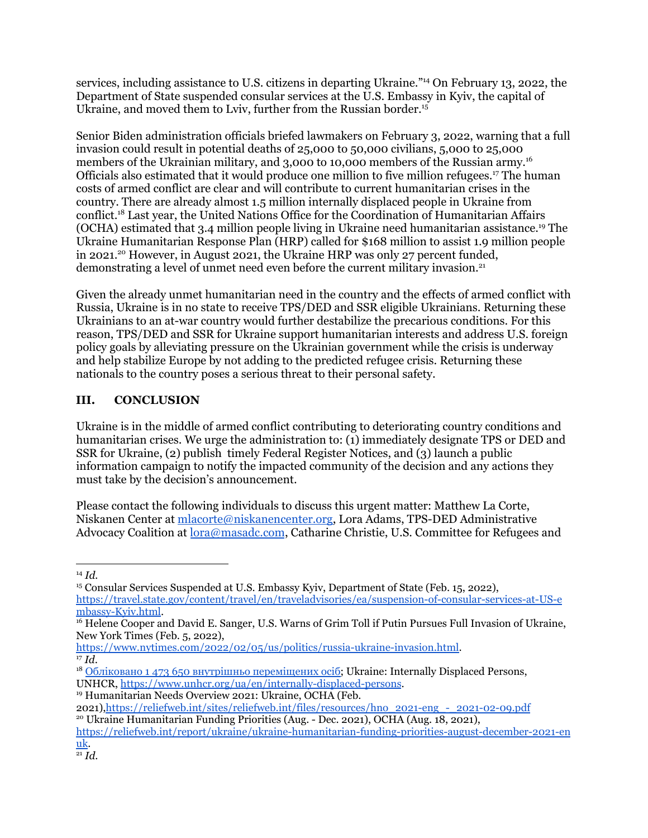services, including assistance to U.S. citizens in departing Ukraine."<sup>14</sup> On February 13, 2022, the Department of State suspended consular services at the U.S. Embassy in Kyiv, the capital of Ukraine, and moved them to Lviv, further from the Russian border. 15

Senior Biden administration officials briefed lawmakers on February 3, 2022, warning that a full invasion could result in potential deaths of 25,000 to 50,000 civilians, 5,000 to 25,000 members of the Ukrainian military, and 3,000 to 10,000 members of the Russian army. 16 Officials also estimated that it would produce one million to five million refugees. <sup>17</sup> The human costs of armed conflict are clear and will contribute to current humanitarian crises in the country. There are already almost 1.5 million internally displaced people in Ukraine from conflict. <sup>18</sup> Last year, the United Nations Office for the Coordination of Humanitarian Affairs (OCHA) estimated that 3.4 million people living in Ukraine need humanitarian assistance. <sup>19</sup> The Ukraine Humanitarian Response Plan (HRP) called for \$168 million to assist 1.9 million people in 2021. <sup>20</sup> However, in August 2021, the Ukraine HRP was only 27 percent funded, demonstrating a level of unmet need even before the current military invasion. 21

Given the already unmet humanitarian need in the country and the effects of armed conflict with Russia, Ukraine is in no state to receive TPS/DED and SSR eligible Ukrainians. Returning these Ukrainians to an at-war country would further destabilize the precarious conditions. For this reason, TPS/DED and SSR for Ukraine support humanitarian interests and address U.S. foreign policy goals by alleviating pressure on the Ukrainian government while the crisis is underway and help stabilize Europe by not adding to the predicted refugee crisis. Returning these nationals to the country poses a serious threat to their personal safety.

# **III. CONCLUSION**

Ukraine is in the middle of armed conflict contributing to deteriorating country conditions and humanitarian crises. We urge the administration to: (1) immediately designate TPS or DED and SSR for Ukraine, (2) publish timely Federal Register Notices, and (3) launch a public information campaign to notify the impacted community of the decision and any actions they must take by the decision's announcement.

Please contact the following individuals to discuss this urgent matter: Matthew La Corte, Niskanen Center at [mlacorte@niskanencenter.org,](mailto:mlacorte@niskanencenter.org) Lora Adams, TPS-DED Administrative Advocacy Coalition at [lora@masadc.com](mailto:lora@masadc.com), Catharine Christie, U.S. Committee for Refugees and

<sup>14</sup> *Id.*

<sup>15</sup> Consular Services Suspended at U.S. Embassy Kyiv, Department of State (Feb. 15, 2022), [https://travel.state.gov/content/travel/en/traveladvisories/ea/suspension-of-consular-services-at-US-e](https://travel.state.gov/content/travel/en/traveladvisories/ea/suspension-of-consular-services-at-US-embassy-Kyiv.html) [mbassy-Kyiv.html](https://travel.state.gov/content/travel/en/traveladvisories/ea/suspension-of-consular-services-at-US-embassy-Kyiv.html).

<sup>&</sup>lt;sup>16</sup> Helene Cooper and David E. Sanger, U.S. Warns of Grim Toll if Putin Pursues Full Invasion of Ukraine, New York Times (Feb. 5, 2022),

<sup>17</sup> *Id*. [https://www.nytimes.com/2022/02/05/us/politics/russia-ukraine-invasion.html.](https://www.nytimes.com/2022/02/05/us/politics/russia-ukraine-invasion.html)

<sup>18</sup> Обліковано 1 473 650 внутрішньо [переміщених](https://www.msp.gov.ua/news/20309.html) осіб; Ukraine: Internally Displaced Persons, UNHCR, <https://www.unhcr.org/ua/en/internally-displaced-persons>.

<sup>19</sup> Humanitarian Needs Overview 2021: Ukraine, OCHA (Feb.

<sup>2021)</sup>[,https://reliefweb.int/sites/reliefweb.int/files/resources/hno\\_2021-eng\\_-\\_2021-02-09.pdf](https://reliefweb.int/sites/reliefweb.int/files/resources/hno_2021-eng_-_2021-02-09.pdf)

<sup>20</sup> Ukraine Humanitarian Funding Priorities (Aug. - Dec. 2021), OCHA (Aug. 18, 2021),

[https://reliefweb.int/report/ukraine/ukraine-humanitarian-funding-priorities-august-december-2021-en](https://reliefweb.int/report/ukraine/ukraine-humanitarian-funding-priorities-august-december-2021-enuk) [uk](https://reliefweb.int/report/ukraine/ukraine-humanitarian-funding-priorities-august-december-2021-enuk).

<sup>21</sup> *Id*.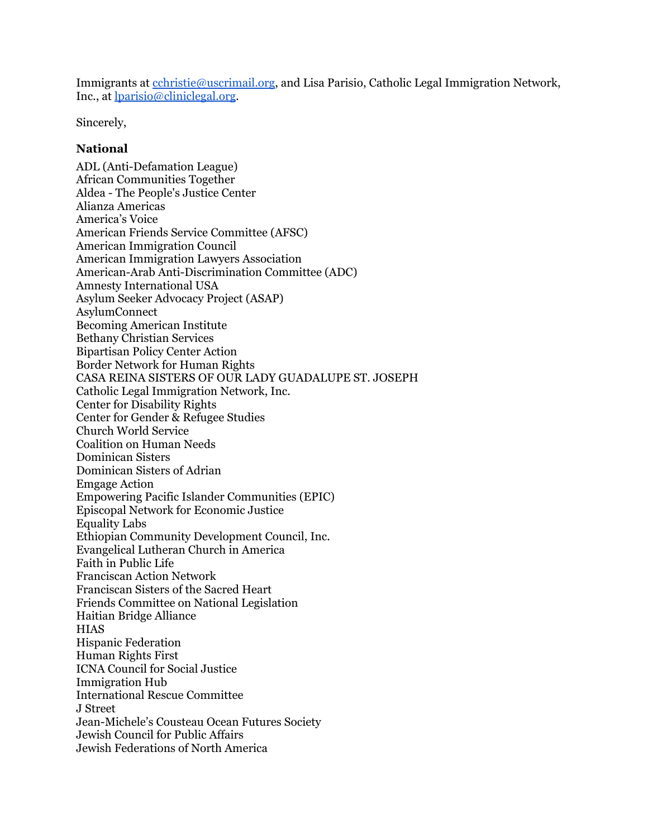Immigrants at [cchristie@uscrimail.org,](mailto:cchristie@uscrimail.org) and Lisa Parisio, Catholic Legal Immigration Network, Inc., at [lparisio@cliniclegal.org.](mailto:lparisio@cliniclegal.org)

Sincerely,

#### **National**

ADL (Anti-Defamation League) African Communities Together Aldea - The People's Justice Center Alianza Americas America's Voice American Friends Service Committee (AFSC) American Immigration Council American Immigration Lawyers Association American-Arab Anti-Discrimination Committee (ADC) Amnesty International USA Asylum Seeker Advocacy Project (ASAP) AsylumConnect Becoming American Institute Bethany Christian Services Bipartisan Policy Center Action Border Network for Human Rights CASA REINA SISTERS OF OUR LADY GUADALUPE ST. JOSEPH Catholic Legal Immigration Network, Inc. Center for Disability Rights Center for Gender & Refugee Studies Church World Service Coalition on Human Needs Dominican Sisters Dominican Sisters of Adrian Emgage Action Empowering Pacific Islander Communities (EPIC) Episcopal Network for Economic Justice Equality Labs Ethiopian Community Development Council, Inc. Evangelical Lutheran Church in America Faith in Public Life Franciscan Action Network Franciscan Sisters of the Sacred Heart Friends Committee on National Legislation Haitian Bridge Alliance **HIAS** Hispanic Federation Human Rights First ICNA Council for Social Justice Immigration Hub International Rescue Committee J Street Jean-Michele's Cousteau Ocean Futures Society Jewish Council for Public Affairs Jewish Federations of North America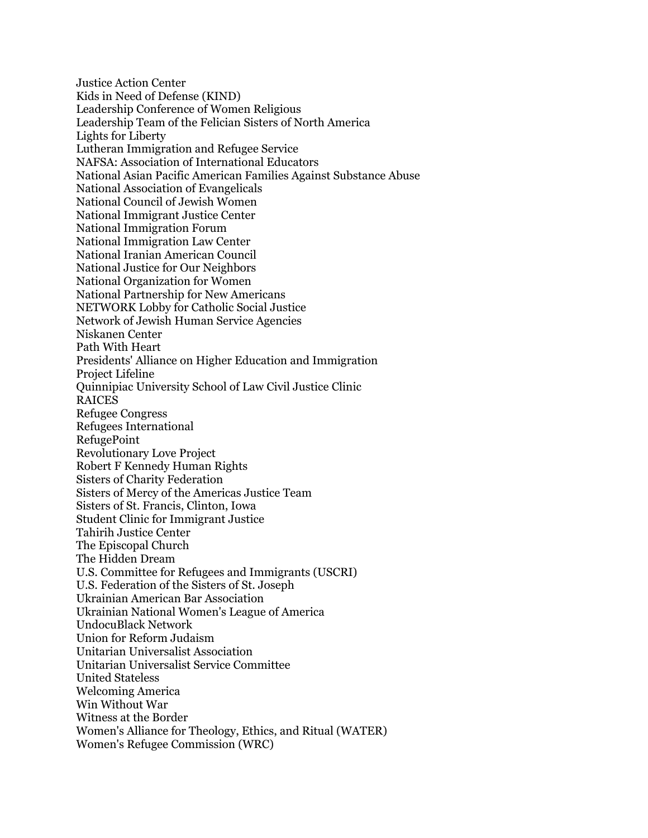Justice Action Center Kids in Need of Defense (KIND) Leadership Conference of Women Religious Leadership Team of the Felician Sisters of North America Lights for Liberty Lutheran Immigration and Refugee Service NAFSA: Association of International Educators National Asian Pacific American Families Against Substance Abuse National Association of Evangelicals National Council of Jewish Women National Immigrant Justice Center National Immigration Forum National Immigration Law Center National Iranian American Council National Justice for Our Neighbors National Organization for Women National Partnership for New Americans NETWORK Lobby for Catholic Social Justice Network of Jewish Human Service Agencies Niskanen Center Path With Heart Presidents' Alliance on Higher Education and Immigration Project Lifeline Quinnipiac University School of Law Civil Justice Clinic RAICES Refugee Congress Refugees International RefugePoint Revolutionary Love Project Robert F Kennedy Human Rights Sisters of Charity Federation Sisters of Mercy of the Americas Justice Team Sisters of St. Francis, Clinton, Iowa Student Clinic for Immigrant Justice Tahirih Justice Center The Episcopal Church The Hidden Dream U.S. Committee for Refugees and Immigrants (USCRI) U.S. Federation of the Sisters of St. Joseph Ukrainian American Bar Association Ukrainian National Women's League of America UndocuBlack Network Union for Reform Judaism Unitarian Universalist Association Unitarian Universalist Service Committee United Stateless Welcoming America Win Without War Witness at the Border Women's Alliance for Theology, Ethics, and Ritual (WATER) Women's Refugee Commission (WRC)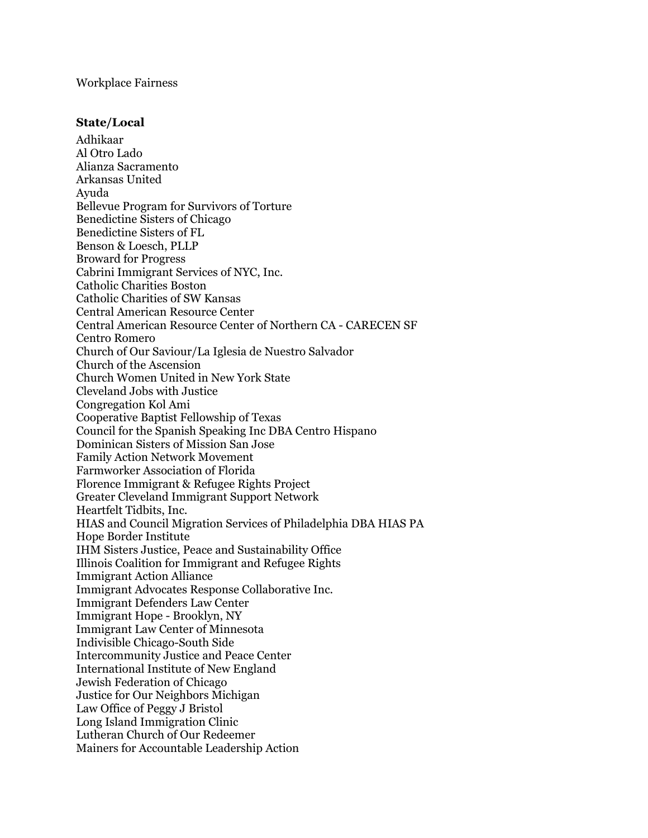#### Workplace Fairness

### **State/Local**

Adhikaar Al Otro Lado Alianza Sacramento Arkansas United Ayuda Bellevue Program for Survivors of Torture Benedictine Sisters of Chicago Benedictine Sisters of FL Benson & Loesch, PLLP Broward for Progress Cabrini Immigrant Services of NYC, Inc. Catholic Charities Boston Catholic Charities of SW Kansas Central American Resource Center Central American Resource Center of Northern CA - CARECEN SF Centro Romero Church of Our Saviour/La Iglesia de Nuestro Salvador Church of the Ascension Church Women United in New York State Cleveland Jobs with Justice Congregation Kol Ami Cooperative Baptist Fellowship of Texas Council for the Spanish Speaking Inc DBA Centro Hispano Dominican Sisters of Mission San Jose Family Action Network Movement Farmworker Association of Florida Florence Immigrant & Refugee Rights Project Greater Cleveland Immigrant Support Network Heartfelt Tidbits, Inc. HIAS and Council Migration Services of Philadelphia DBA HIAS PA Hope Border Institute IHM Sisters Justice, Peace and Sustainability Office Illinois Coalition for Immigrant and Refugee Rights Immigrant Action Alliance Immigrant Advocates Response Collaborative Inc. Immigrant Defenders Law Center Immigrant Hope - Brooklyn, NY Immigrant Law Center of Minnesota Indivisible Chicago-South Side Intercommunity Justice and Peace Center International Institute of New England Jewish Federation of Chicago Justice for Our Neighbors Michigan Law Office of Peggy J Bristol Long Island Immigration Clinic Lutheran Church of Our Redeemer Mainers for Accountable Leadership Action